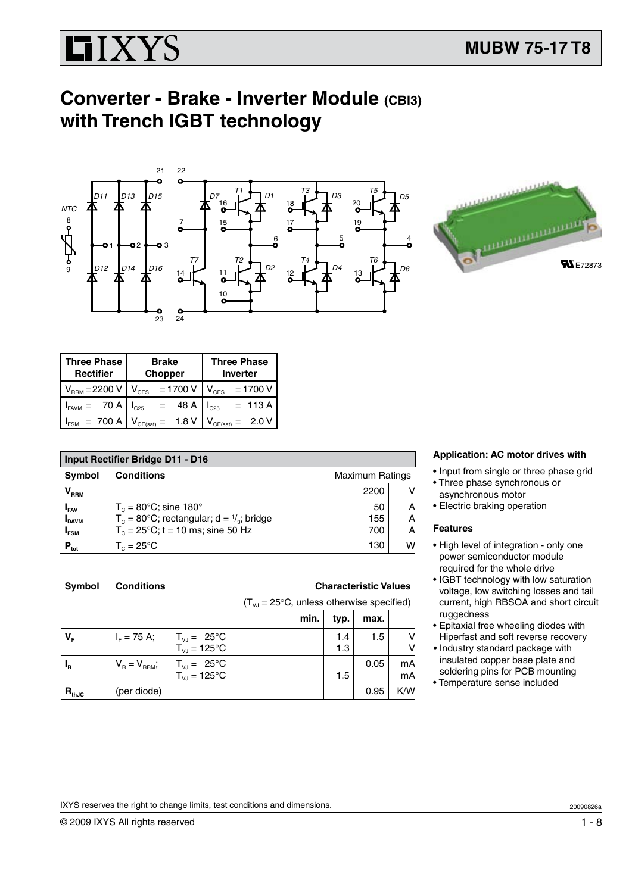# **HIXYS**

## **Converter - Brake - Inverter Module (CBI3) with Trench IGBT technology**



| <b>Three Phase</b> | <b>Brake</b>                   | <b>Three Phase</b>      |  |
|--------------------|--------------------------------|-------------------------|--|
| <b>Rectifier</b>   | <b>Chopper</b>                 | <b>Inverter</b>         |  |
| $V_{RRM} = 2200 V$ | $= 1700 V$<br>$V_{\text{CES}}$ | $= 1700 V$<br>$V_{CES}$ |  |
| 70 A               | 48 A                           | $= 113 A$               |  |
| $I_{FAVM}$         | IC25                           | $L_{C25}$               |  |
| $= 700 A$          | 1.8V                           | $= 2.0 V$               |  |
| $I_{\texttt{FSM}}$ | $V_{CE(sat)} =$                | CE(sat)                 |  |

| <b>Input Rectifier Bridge D11 - D16</b> |                                                               |      |   |  |  |
|-----------------------------------------|---------------------------------------------------------------|------|---|--|--|
| <b>Symbol</b>                           | <b>Conditions</b><br><b>Maximum Ratings</b>                   |      |   |  |  |
| $\bm{{\mathsf{V}}}_{\text{\tiny{RRM}}}$ |                                                               | 2200 | v |  |  |
| $I_{FAV}$                               | $T_c = 80$ °C; sine 180°                                      | 50   | A |  |  |
| <b>I</b> DAVM                           | $T_c = 80^{\circ}$ C; rectangular; d = $\frac{1}{3}$ ; bridge | 155  | Α |  |  |
| $I_{FSM}$                               | $T_c = 25^{\circ}$ C; t = 10 ms; sine 50 Hz                   | 700  | Α |  |  |
| $P_{\text{tot}}$                        | $T_c = 25^{\circ}$ C                                          | 130  | W |  |  |

| <b>Conditions</b><br>Symbol |
|-----------------------------|
|-----------------------------|

## **S Characteristic Values**

 $(T<sub>VJ</sub> = 25°C$ , unless otherwise specified)

|             |                                                                         | min. | typ.       | max. |          |
|-------------|-------------------------------------------------------------------------|------|------------|------|----------|
| $V_{\rm F}$ | $T_{VJ} = 25^{\circ}C$<br>$I_{F} = 75 A$ ;<br>$T_{VJ} = 125^{\circ}C$   |      | 1.4<br>1.3 | 1.5  | ٧<br>٧   |
| $I_R$       | $T_{VJ} = 25^{\circ}C$<br>$V_R = V_{RRM}$ ;<br>$T_{V,I} = 125^{\circ}C$ |      | 1.5        | 0.05 | mA<br>mA |
| $R_{thJC}$  | (per diode)                                                             |      |            | 0.95 | K/W      |

## **Application: AC motor drives with**

- • Input from single or three phase grid
- Three phase synchronous or asynchronous motor
- Electric braking operation

## **Features**

- High level of integration only one power semiconductor module required for the whole drive
- IGBT technology with low saturation voltage, low switching losses and tail current, high RBSOA and short circuit ruggedness
- Epitaxial free wheeling diodes with Hiperfast and soft reverse recovery
- Industry standard package with insulated copper base plate and soldering pins for PCB mounting
- Temperature sense included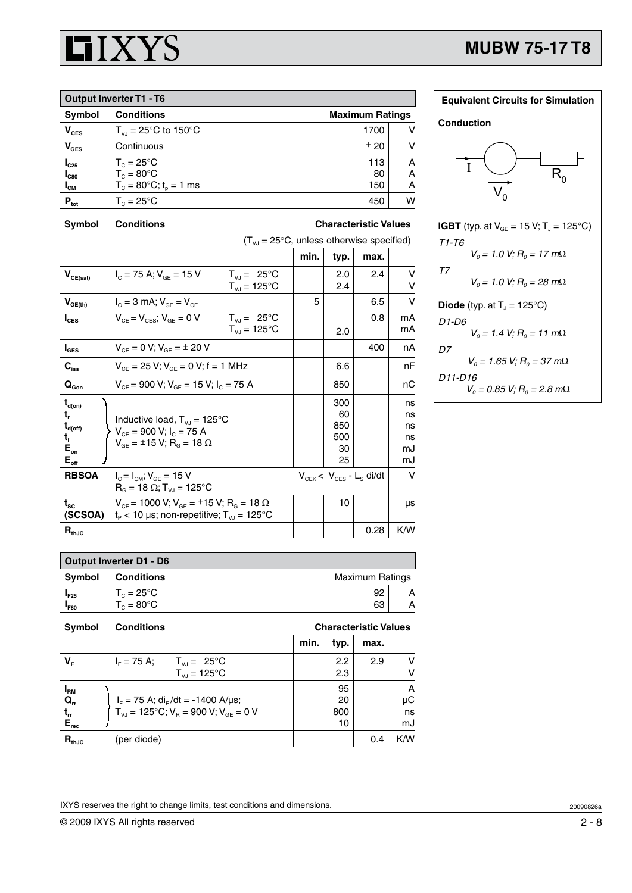

| <b>Output Inverter T1 - T6</b> |                                             |      |   |  |  |
|--------------------------------|---------------------------------------------|------|---|--|--|
| <b>Symbol</b>                  | <b>Conditions</b><br><b>Maximum Ratings</b> |      |   |  |  |
| $V_{\text{CES}}$               | $T_{VJ} = 25^{\circ}C$ to 150°C             | 1700 |   |  |  |
| $V_{\text{GES}}$               | Continuous                                  | ± 20 |   |  |  |
| $I_{C25}$                      | $T_c = 25^{\circ}$ C                        | 113  | А |  |  |
| $I_{C80}$                      | $T_c = 80^{\circ}$ C                        | 80   | А |  |  |
| $I_{CM}$                       | $T_c = 80^{\circ}$ C; t <sub>o</sub> = 1 ms | 150  | А |  |  |
| $P_{\text{tot}}$               | $T_c = 25^{\circ}$ C                        | 450  | W |  |  |

**Symbol Conditions Characteristic Values**

|                                                                                         | $(T_{v,i} = 25^{\circ}C$ , unless otherwise specified)                                                                      |                                                   |      |                                     |                                            |                                  |
|-----------------------------------------------------------------------------------------|-----------------------------------------------------------------------------------------------------------------------------|---------------------------------------------------|------|-------------------------------------|--------------------------------------------|----------------------------------|
|                                                                                         |                                                                                                                             |                                                   | min. | typ.                                | max.                                       |                                  |
| $V_{CE(sat)}$                                                                           | $I_c = 75$ A; $V_{cF} = 15$ V                                                                                               | $T_{VJ} = 25^{\circ}C$<br>$T_{VJ} = 125$ °C       |      | 2.0<br>2.4                          | 2.4                                        | v                                |
| $V_{GE(th)}$                                                                            | $I_{C} = 3 \text{ mA}; V_{GE} = V_{CE}$                                                                                     |                                                   | 5    |                                     | 6.5                                        | v                                |
| $I_{\text{CES}}$                                                                        | $V_{CF} = V_{CFS}$ ; $V_{GF} = 0 V$                                                                                         | $T_{V1} = 25^{\circ}C$<br>$T_{VJ} = 125^{\circ}C$ |      | 2.0                                 | 0.8                                        | mA<br>mA                         |
| $I_{\texttt{GES}}$                                                                      | $V_{CF} = 0 V$ ; $V_{GF} = \pm 20 V$                                                                                        |                                                   |      |                                     | 400                                        | nA                               |
| $\mathbf{C}_{\mathrm{iss}}$                                                             | $V_{CE}$ = 25 V; $V_{GE}$ = 0 V; f = 1 MHz                                                                                  |                                                   |      | 6.6                                 |                                            | nF                               |
| $\mathbf{Q}_\text{Gon}$                                                                 | $V_{CE}$ = 900 V; $V_{GE}$ = 15 V; $I_C$ = 75 A                                                                             |                                                   |      | 850                                 |                                            | nС                               |
| $t_{d(on)}$<br>t,<br>$\mathbf{t}_{\text{d(off)}}$<br>t,<br>$E_{on}$<br>$E_{\text{off}}$ | Inductive load, $T_{VJ} = 125^{\circ}C$<br>$V_{CF}$ = 900 V; $I_C$ = 75 A<br>$V_{GF}$ = ±15 V; R <sub>G</sub> = 18 $\Omega$ |                                                   |      | 300<br>60<br>850<br>500<br>30<br>25 |                                            | ns<br>ns<br>ns<br>ns<br>mJ<br>mJ |
| <b>RBSOA</b>                                                                            | $I_{C} = I_{CM}$ ; $V_{GE} = 15$ V<br>$R_G = 18 \Omega$ ; T <sub>vJ</sub> = 125°C                                           |                                                   |      |                                     | $V_{CEK} \leq V_{CES} - L_S \frac{di}{dt}$ | $\vee$                           |
| $\mathbf{t}_{\rm sc}$<br>(SCSOA)                                                        | $V_{CE}$ = 1000 V; $V_{GE}$ = ±15 V; R <sub>G</sub> = 18 $\Omega$<br>$t_P \le 10$ µs; non-repetitive; $T_{V,J} = 125$ °C    |                                                   |      | 10                                  |                                            | μs                               |
| $\mathbf{R}_{\text{thJC}}$                                                              |                                                                                                                             |                                                   |      |                                     | 0.28                                       | K/W                              |

| <b>Equivalent Circuits for Simulation</b>                      |
|----------------------------------------------------------------|
| <b>Conduction</b>                                              |
|                                                                |
| <b>IGBT</b> (typ. at $V_{GE} = 15 V$ ; T <sub>J</sub> = 125°C) |
| T1-T6                                                          |
| $V_0 = 1.0 V; R_0 = 17 m\Omega$                                |
| $T\bar{T}$<br>$V_0 = 1.0$ V; $R_0 = 28$ m $\Omega$             |
| <b>Diode</b> (typ. at $Tj = 125^{\circ}C$ )                    |
| D1-D6                                                          |
| $V_0 = 1.4$ V; $R_0 = 11$ m $\Omega$                           |
| D7<br>$V_0 = 1.65$ V; $R_0 = 37$ m $\Omega$                    |
| D11-D16<br>$V_0 = 0.85$ V; $R_0 = 2.8$ m $\Omega$              |
|                                                                |

| Output Inverter D1 - D6 |                      |                        |   |  |  |
|-------------------------|----------------------|------------------------|---|--|--|
| Symbol                  | <b>Conditions</b>    | <b>Maximum Ratings</b> |   |  |  |
| $I_{F25}$               | $T_c = 25^{\circ}$ C | 92                     | А |  |  |
| l <sub>F80</sub>        | $T_c = 80^{\circ}$ C | 63                     | А |  |  |

| <b>Symbol</b> | <b>Conditions</b>                                                                                                         | <b>Characteristic Values</b> |      |      |         |
|---------------|---------------------------------------------------------------------------------------------------------------------------|------------------------------|------|------|---------|
|               |                                                                                                                           | min.                         | typ. | max. |         |
| V.            | $T_{VJ} = 25^{\circ}C$<br>$I_{E} = 75 A$ ;                                                                                |                              | 2.2  | 2.9  | v       |
|               | $T_{V1} = 125^{\circ}C$                                                                                                   |                              | 2.3  |      | v       |
| $I_{\rm RM}$  |                                                                                                                           |                              | 95   |      | A       |
| $Q_{rr}$      | $I_F = 75$ A; di <sub>F</sub> /dt = -1400 A/µs;<br>T <sub>VJ</sub> = 125°C; V <sub>R</sub> = 900 V; V <sub>GE</sub> = 0 V |                              | 20   |      | $\mu$ C |
| $t_{rr}$      |                                                                                                                           |                              | 800  |      | ns      |
| $E_{rec}$     |                                                                                                                           |                              | 10   |      | mJ      |
| $R_{thJC}$    | (per diode)                                                                                                               |                              |      | 0.4  | K/W     |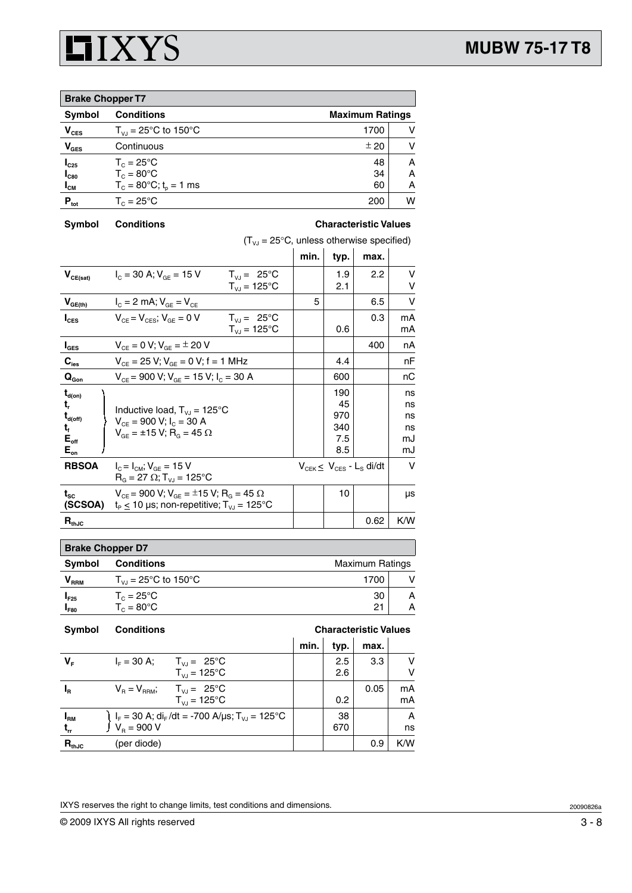

| <b>Brake Chopper T7</b> |                                    |                        |   |  |  |
|-------------------------|------------------------------------|------------------------|---|--|--|
| <b>Symbol</b>           | <b>Conditions</b>                  | <b>Maximum Ratings</b> |   |  |  |
| $V_{CES}$               | $T_{VJ} = 25^{\circ}C$ to 150°C    | 1700                   | v |  |  |
| $V_{\text{GES}}$        | Continuous                         | ± 20                   | v |  |  |
| $I_{C25}$               | $T_c = 25^{\circ}$ C               | 48                     | A |  |  |
| $I_{C80}$               | $T_c = 80^{\circ}$ C               | 34                     | Α |  |  |
| $I_{\text{CM}}$         | $T_c = 80^{\circ}C$ ; $t_p = 1$ ms | 60                     | А |  |  |
| $P_{\text{tot}}$        | $T_c = 25^{\circ}$ C               | 200                    | W |  |  |

**Symbol Conditions Characteristic Values**

|                                         | $(T_{V_i} = 25^{\circ}C$ , unless otherwise specified)                                                                  |                        |      |      |                                            |        |
|-----------------------------------------|-------------------------------------------------------------------------------------------------------------------------|------------------------|------|------|--------------------------------------------|--------|
|                                         |                                                                                                                         |                        | min. | typ. | max.                                       |        |
| $V_{CE(sat)}$                           | $I_c = 30$ A; $V_{GE} = 15$ V                                                                                           | $T_{VJ} = 25^{\circ}C$ |      | 1.9  | 2.2                                        | v      |
|                                         |                                                                                                                         | $T_{V,I}$ = 125°C      |      | 2.1  |                                            | v      |
| $V_{GE(\underline{th})}$                | $I_{C} = 2$ mA; $V_{GE} = V_{CE}$                                                                                       |                        | 5    |      | 6.5                                        | $\vee$ |
| $I_{\text{CES}}$                        | $V_{CF} = V_{CFS}$ ; $V_{GF} = 0$ V                                                                                     | $T_{V1} = 25^{\circ}C$ |      |      | 0.3                                        | mA     |
|                                         |                                                                                                                         | $T_{VJ}$ = 125°C       |      | 0.6  |                                            | mA     |
| $I_{\texttt{GES}}$                      | $V_{CE} = 0 V$ ; $V_{GE} = \pm 20 V$                                                                                    |                        |      |      | 400                                        | nA     |
| $\mathbf{C}_{\mathrm{ies}}$             | $V_{CE}$ = 25 V; $V_{GE}$ = 0 V; f = 1 MHz                                                                              |                        |      | 4.4  |                                            | nF     |
| $\mathbf{Q}_{\text{Gon}}$               | $V_{CF}$ = 900 V; $V_{GF}$ = 15 V; $I_C$ = 30 A                                                                         |                        |      | 600  |                                            | nС     |
| $\mathbf{t}_{\mathsf{d}(\mathsf{on})}$  |                                                                                                                         |                        |      | 190  |                                            | ns     |
| t,                                      | Inductive load, $T_{VJ} = 125^{\circ}C$                                                                                 |                        |      | 45   |                                            | ns     |
| $\mathbf{t}_{\mathsf{d}(\mathsf{off})}$ | $V_{CF}$ = 900 V; $I_C$ = 30 A                                                                                          |                        |      | 970  |                                            | ns     |
| t,                                      | $V_{GF}$ = ±15 V; R <sub>G</sub> = 45 $\Omega$                                                                          |                        |      | 340  |                                            | ns     |
| $E_{\text{off}}$                        |                                                                                                                         |                        |      | 7.5  |                                            | mJ     |
| $\mathsf{E}_{\mathsf{on}}$              |                                                                                                                         |                        |      | 8.5  |                                            | mJ     |
| <b>RBSOA</b>                            | $I_c = I_{CM}$ ; $V_{GF} = 15$ V<br>$R_{\rm g} = 27 \Omega$ ; T <sub>vi</sub> = 125 °C                                  |                        |      |      | $V_{CEK} \leq V_{CES} - L_S \frac{di}{dt}$ | $\vee$ |
| $t_{\rm sc}$<br>(SCSOA)                 | $V_{CE}$ = 900 V; $V_{GE}$ = ±15 V; R <sub>G</sub> = 45 $\Omega$<br>$t_P \le 10$ µs; non-repetitive; $T_{V,J} = 125$ °C |                        |      | 10   |                                            | μs     |
| $R_{thJC}$                              |                                                                                                                         |                        |      |      | 0.62                                       | K/W    |

| <b>Brake Chopper D7</b>                               |                          |      |   |  |  |
|-------------------------------------------------------|--------------------------|------|---|--|--|
| Symbol<br><b>Conditions</b><br><b>Maximum Ratings</b> |                          |      |   |  |  |
| $\mathsf{V}_{\mathsf{RRM}}$                           | $T_{V1}$ = 25°C to 150°C | 1700 |   |  |  |
| $I_{F25}$                                             | $T_c = 25^{\circ}$ C     | 30   | А |  |  |
| $I_{F80}$                                             | $T_c = 80^{\circ}$ C     | 21   | А |  |  |

| <b>Symbol</b> | <b>Conditions</b>                                                                                                         | <b>Characteristic Values</b> |      |      |     |
|---------------|---------------------------------------------------------------------------------------------------------------------------|------------------------------|------|------|-----|
|               |                                                                                                                           | min.                         | typ. | max. |     |
| $V_{\rm r}$   | $I_{E} = 30 A$ ;<br>$T_{VJ} = 25^{\circ}C$                                                                                |                              | 2.5  | 3.3  | v   |
|               | $T_{V,I} = 125^{\circ}C$                                                                                                  |                              | 2.6  |      | v   |
| $I_R$         | $V_B = V_{RBM}$ ; $T_{VJ} = 25^{\circ}C$                                                                                  |                              |      | 0.05 | mA  |
|               | $T_{V1}$ = 125°C                                                                                                          |                              | 0.2  |      | mA  |
| $I_{\rm RM}$  | )  I <sub>F</sub> = 30 A; di <sub>F</sub> /dt = -700 A/μs; T <sub>vJ</sub> = 125°C<br><sup> </sup> V <sub>R</sub> = 900 V |                              | 38   |      | A   |
| $t_{rr}$      |                                                                                                                           |                              | 670  |      | ns  |
| $R_{thJC}$    | (per diode)                                                                                                               |                              |      | 0.9  | K/W |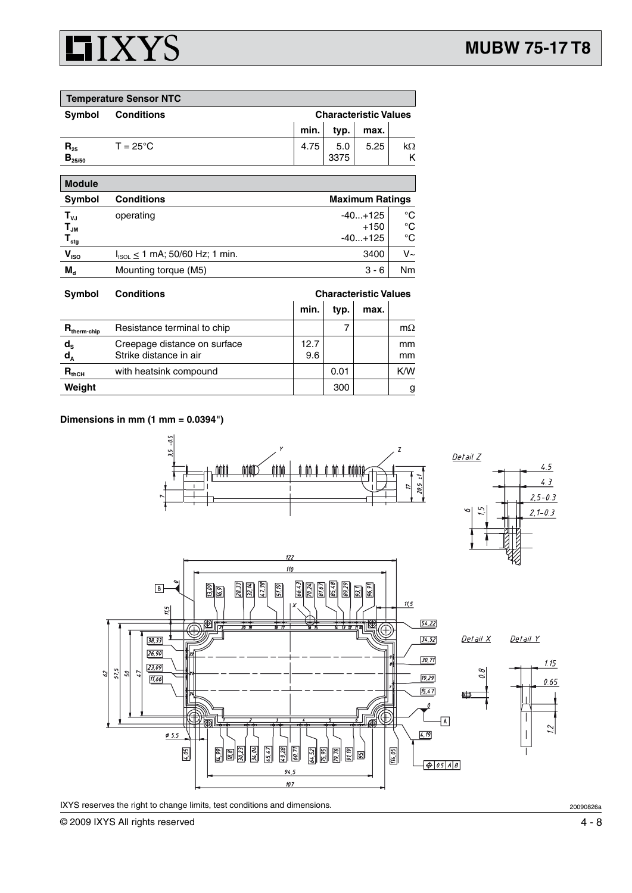## **HIXYS**

| <b>Temperature Sensor NTC</b>                      |                                       |                        |                              |                                  |                |  |  |
|----------------------------------------------------|---------------------------------------|------------------------|------------------------------|----------------------------------|----------------|--|--|
| Symbol                                             | <b>Conditions</b>                     |                        | <b>Characteristic Values</b> |                                  |                |  |  |
|                                                    |                                       | min.                   | typ.                         | max.                             |                |  |  |
| $R_{25}$<br>$B_{25/50}$                            | $T = 25^{\circ}$ C                    | 4.75                   | 5.0<br>3375                  | 5.25                             | $k\Omega$<br>Κ |  |  |
| <b>Module</b>                                      |                                       |                        |                              |                                  |                |  |  |
| Symbol                                             | <b>Conditions</b>                     | <b>Maximum Ratings</b> |                              |                                  |                |  |  |
| $T_{\nu J}$<br>$T_{JM}$<br>$\mathsf{T}_{\sf{stg}}$ | operating                             |                        |                              | $-40+125$<br>$+150$<br>$-40+125$ | °C<br>°C<br>°C |  |  |
| $V_{ISO}$                                          | $I_{ISOL} \le 1$ mA; 50/60 Hz; 1 min. |                        |                              | 3400                             | $V_{\sim}$     |  |  |

| <b>Symbol</b>                      | <b>Conditions</b>                                      | <b>Characteristic Values</b> |      |      |                                |
|------------------------------------|--------------------------------------------------------|------------------------------|------|------|--------------------------------|
|                                    |                                                        | min.                         | typ. | max. |                                |
| $R_{\text{therm-chip}}$            | Resistance terminal to chip                            |                              |      |      | $m\Omega$                      |
| $\mathsf{d}_{\mathsf{s}}$<br>$d_A$ | Creepage distance on surface<br>Strike distance in air | 12.7<br>9.6                  |      |      | <sub>mm</sub><br><sub>mm</sub> |
| $R_{thCH}$                         | with heatsink compound                                 |                              | 0.01 |      | K/W                            |
| Weight<br>300                      |                                                        |                              |      |      | g                              |

 $M_d$  Mounting torque (M5)  $3 - 6$  Nm

## **Dimensions in mm (1 mm = 0.0394")**

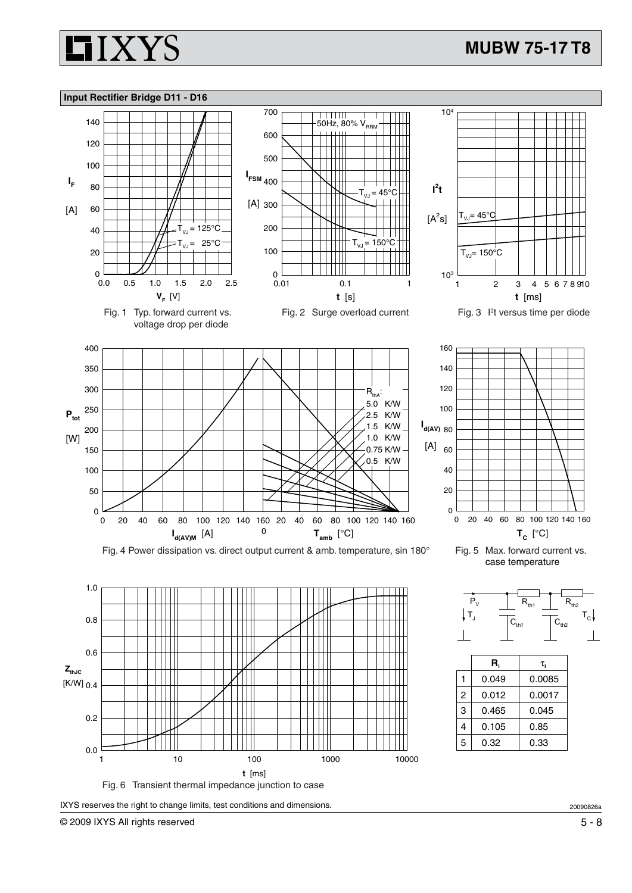











20090826a

**IIXYS**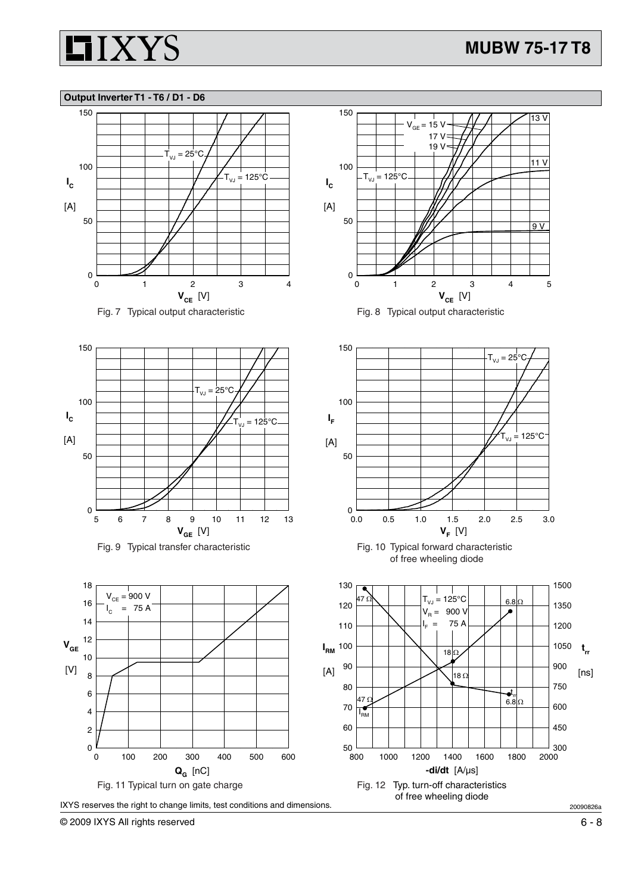

### **Output Inverter T1 - T6 / D1 - D6**



















© 2009 IXYS All rights reserved 6 - 8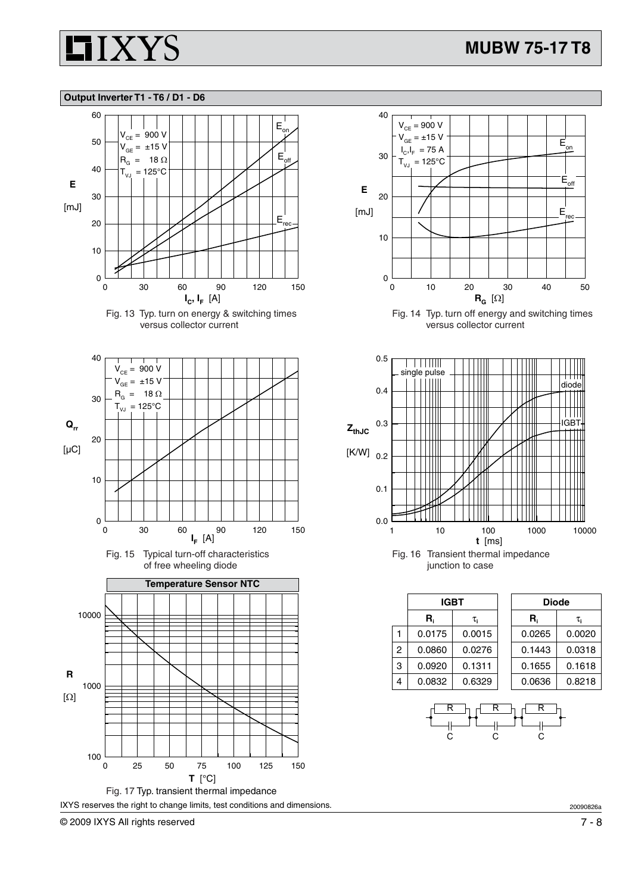

### **Output Inverter T1 - T6 / D1 - D6**



Fig. 13 Typ. turn on energy & switching times versus collector current











Fig. 14 Typ. turn off energy and switching times versus collector current



|   | <b>IGBT</b> |        | <b>Diode</b> |        |
|---|-------------|--------|--------------|--------|
|   | R.          | τ.     | R,           | τ.     |
|   | 0.0175      | 0.0015 | 0.0265       | 0.0020 |
| 2 | 0.0860      | 0.0276 | 0.1443       | 0.0318 |
| 3 | 0.0920      | 0.1311 | 0.1655       | 0.1618 |
| 4 | 0.0832      | 0.6329 | 0.0636       | 0.8218 |



20090826a

© 2009 IXYS All rights reserved 7 - 8